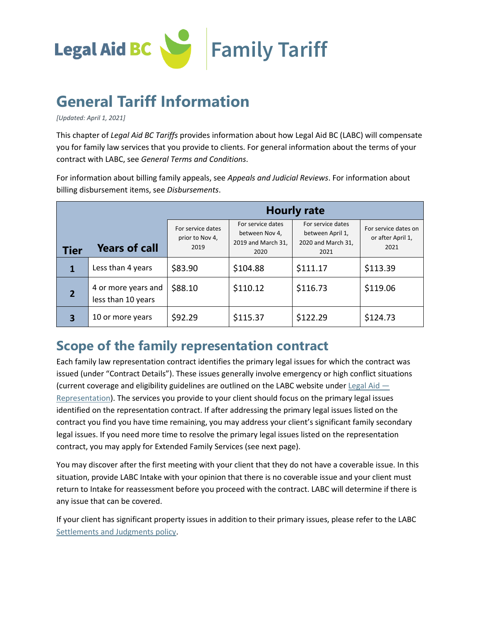

# **General Tariff Information**

*[Updated: April 1, 2021]*

This chapter of *Legal Aid BC Tariffs* provides information about how Legal Aid BC (LABC) will compensate you for family law services that you provide to clients. For general information about the terms of your contract with LABC, see *General Terms and Conditions*.

For information about billing family appeals, see *Appeals and Judicial Reviews*. For information about billing disbursement items, see *Disbursements*.

|                |                                           | <b>Hourly rate</b>                           |                                                                   |                                                                     |                                                   |  |
|----------------|-------------------------------------------|----------------------------------------------|-------------------------------------------------------------------|---------------------------------------------------------------------|---------------------------------------------------|--|
| <b>Tier</b>    | <b>Years of call</b>                      | For service dates<br>prior to Nov 4,<br>2019 | For service dates<br>between Nov 4,<br>2019 and March 31,<br>2020 | For service dates<br>between April 1,<br>2020 and March 31,<br>2021 | For service dates on<br>or after April 1,<br>2021 |  |
|                | Less than 4 years                         | \$83.90                                      | \$104.88                                                          | \$111.17                                                            | \$113.39                                          |  |
| $\overline{2}$ | 4 or more years and<br>less than 10 years | \$88.10                                      | \$110.12                                                          | \$116.73                                                            | \$119.06                                          |  |
| 3              | 10 or more years                          | \$92.29                                      | \$115.37                                                          | \$122.29                                                            | \$124.73                                          |  |

## **Scope of the family representation contract**

Each family law representation contract identifies the primary legal issues for which the contract was issued (under "Contract Details"). These issues generally involve emergency or high conflict situations (current coverage and eligibility guidelines are outlined on the LABC website under [Legal Aid](http://www.lss.bc.ca/legal_aid/legalRepresentation.php)  $-$ [Representation\)](http://www.lss.bc.ca/legal_aid/legalRepresentation.php). The services you provide to your client should focus on the primary legal issues identified on the representation contract. If after addressing the primary legal issues listed on the contract you find you have time remaining, you may address your client's significant family secondary legal issues. If you need more time to resolve the primary legal issues listed on the representation contract, you may apply for Extended Family Services (see next page).

You may discover after the first meeting with your client that they do not have a coverable issue. In this situation, provide LABC Intake with your opinion that there is no coverable issue and your client must return to Intake for reassessment before you proceed with the contract. LABC will determine if there is any issue that can be covered.

If your client has significant property issues in addition to their primary issues, please refer to the LABC [Settlements and Judgments policy.](https://lss.bc.ca/sites/default/files/inline-files/settlementsAndJudgmentsPolicy.pdf)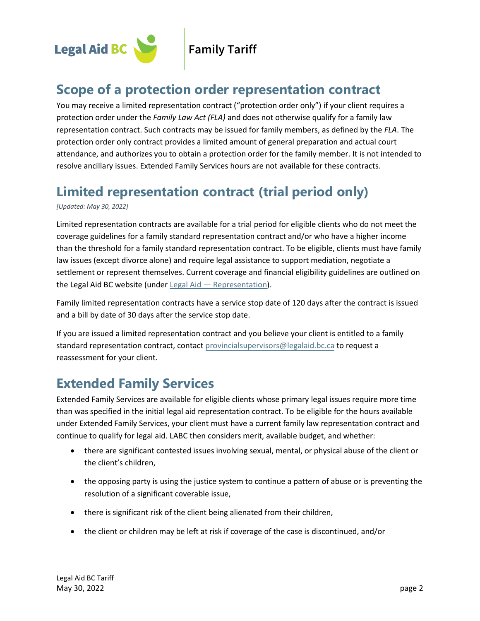

## **Scope of a protection order representation contract**

You may receive a limited representation contract ("protection order only") if your client requires a protection order under the *Family Law Act (FLA)* and does not otherwise qualify for a family law representation contract. Such contracts may be issued for family members, as defined by the *FLA*. The protection order only contract provides a limited amount of general preparation and actual court attendance, and authorizes you to obtain a protection order for the family member. It is not intended to resolve ancillary issues. Extended Family Services hours are not available for these contracts.

## **Limited representation contract (trial period only)**

*[Updated: May 30, 2022]* 

Limited representation contracts are available for a trial period for eligible clients who do not meet the coverage guidelines for a family standard representation contract and/or who have a higher income than the threshold for a family standard representation contract. To be eligible, clients must have family law issues (except divorce alone) and require legal assistance to support mediation, negotiate a settlement or represent themselves. Current coverage and financial eligibility guidelines are outlined on the Legal Aid BC website (under Legal Aid — [Representation\)](http://www.lss.bc.ca/legal_aid/legalRepresentation.php).

Family limited representation contracts have a service stop date of 120 days after the contract is issued and a bill by date of 30 days after the service stop date.

If you are issued a limited representation contract and you believe your client is entitled to a family standard representation contract, contact [provincialsupervisors@legalaid.bc.ca](mailto:provincialsupervisors@legalaid.bc.ca) to request a reassessment for your client.

## **Extended Family Services**

Extended Family Services are available for eligible clients whose primary legal issues require more time than was specified in the initial legal aid representation contract. To be eligible for the hours available under Extended Family Services, your client must have a current family law representation contract and continue to qualify for legal aid. LABC then considers merit, available budget, and whether:

- there are significant contested issues involving sexual, mental, or physical abuse of the client or the client's children,
- the opposing party is using the justice system to continue a pattern of abuse or is preventing the resolution of a significant coverable issue,
- there is significant risk of the client being alienated from their children,
- the client or children may be left at risk if coverage of the case is discontinued, and/or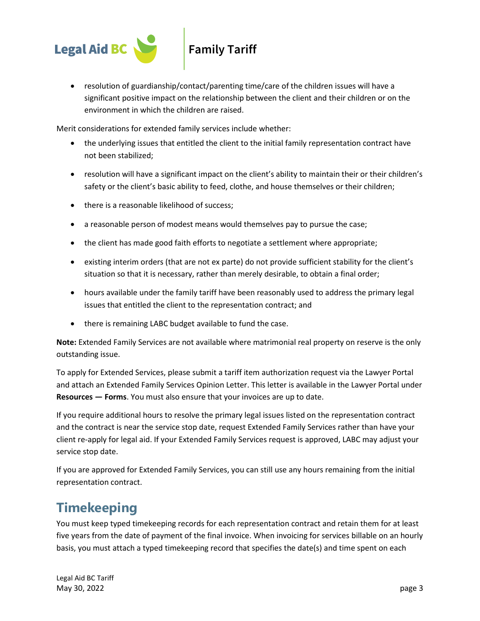

• resolution of guardianship/contact/parenting time/care of the children issues will have a significant positive impact on the relationship between the client and their children or on the environment in which the children are raised.

Merit considerations for extended family services include whether:

- the underlying issues that entitled the client to the initial family representation contract have not been stabilized;
- resolution will have a significant impact on the client's ability to maintain their or their children's safety or the client's basic ability to feed, clothe, and house themselves or their children;
- there is a reasonable likelihood of success;
- a reasonable person of modest means would themselves pay to pursue the case;
- the client has made good faith efforts to negotiate a settlement where appropriate;
- existing interim orders (that are not ex parte) do not provide sufficient stability for the client's situation so that it is necessary, rather than merely desirable, to obtain a final order;
- hours available under the family tariff have been reasonably used to address the primary legal issues that entitled the client to the representation contract; and
- there is remaining LABC budget available to fund the case.

**Note:** Extended Family Services are not available where matrimonial real property on reserve is the only outstanding issue.

To apply for Extended Services, please submit a tariff item authorization request via the Lawyer Portal and attach an Extended Family Services Opinion Letter. This letter is available in the Lawyer Portal under **Resources — Forms**. You must also ensure that your invoices are up to date.

If you require additional hours to resolve the primary legal issues listed on the representation contract and the contract is near the service stop date, request Extended Family Services rather than have your client re-apply for legal aid. If your Extended Family Services request is approved, LABC may adjust your service stop date.

If you are approved for Extended Family Services, you can still use any hours remaining from the initial representation contract.

## **Timekeeping**

You must keep typed timekeeping records for each representation contract and retain them for at least five years from the date of payment of the final invoice. When invoicing for services billable on an hourly basis, you must attach a typed timekeeping record that specifies the date(s) and time spent on each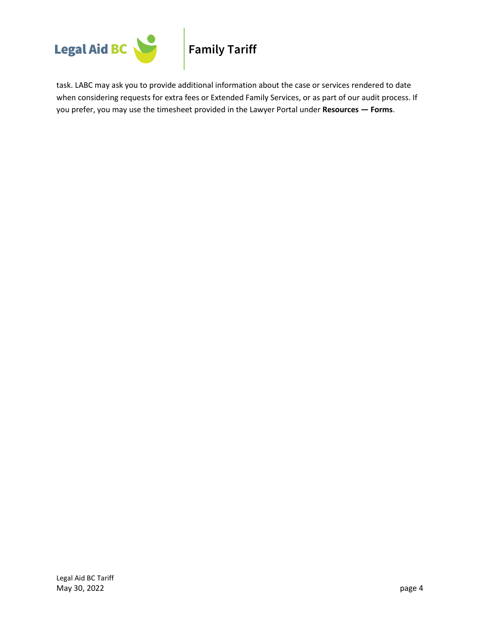

task. LABC may ask you to provide additional information about the case or services rendered to date when considering requests for extra fees or Extended Family Services, or as part of our audit process. If you prefer, you may use the [timesheet](http://www.lss.bc.ca/lawyers/forms.asp) provided in the Lawyer Portal under **Resources — Forms**.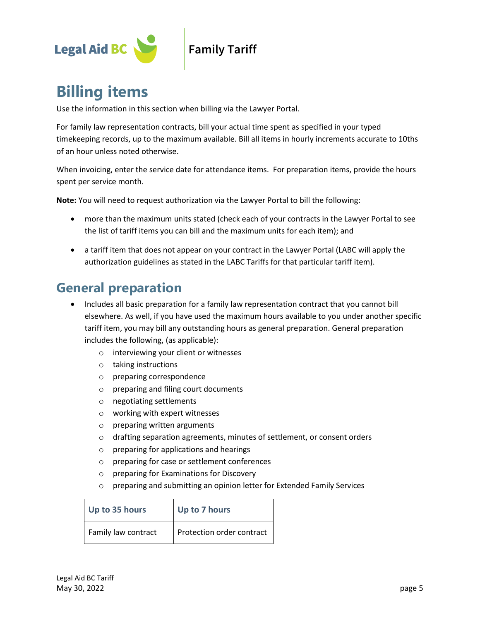

## **Family Tariff**

# **Billing items**

Use the information in this section when billing via the Lawyer Portal.

For family law representation contracts, bill your actual time spent as specified in your typed timekeeping records, up to the maximum available. Bill all items in hourly increments accurate to 10ths of an hour unless noted otherwise.

When invoicing, enter the service date for attendance items. For preparation items, provide the hours spent per service month.

**Note:** You will need to request authorization via the Lawyer Portal to bill the following:

- more than the maximum units stated (check each of your contracts in the Lawyer Portal to see the list of tariff items you can bill and the maximum units for each item); and
- a tariff item that does not appear on your contract in the Lawyer Portal (LABC will apply the authorization guidelines as stated in the LABC Tariffs for that particular tariff item).

## **General preparation**

- Includes all basic preparation for a family law representation contract that you cannot bill elsewhere. As well, if you have used the maximum hours available to you under another specific tariff item, you may bill any outstanding hours as general preparation. General preparation includes the following, (as applicable):
	- o interviewing your client or witnesses
	- o taking instructions
	- o preparing correspondence
	- o preparing and filing court documents
	- o negotiating settlements
	- o working with expert witnesses
	- o preparing written arguments
	- o drafting separation agreements, minutes of settlement, or consent orders
	- o preparing for applications and hearings
	- o preparing for case or settlement conferences
	- o preparing for Examinations for Discovery
	- o preparing and submitting an opinion letter for Extended Family Services

| Up to 35 hours      | Up to 7 hours             |
|---------------------|---------------------------|
| Family law contract | Protection order contract |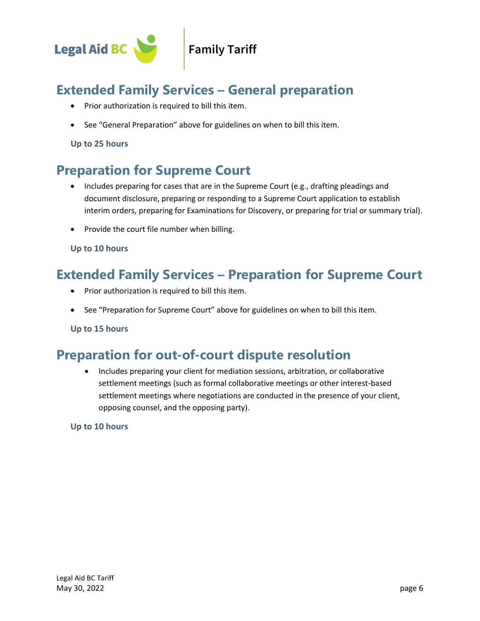

## **Extended Family Services – General preparation**

- Prior authorization is required to bill this item.
- See "General Preparation" above for guidelines on when to bill this item.

#### **Up to 25 hours**

## **Preparation for Supreme Court**

- Includes preparing for cases that are in the Supreme Court (e.g., drafting pleadings and document disclosure, preparing or responding to a Supreme Court application to establish interim orders, preparing for Examinations for Discovery, or preparing for trial or summary trial).
- Provide the court file number when billing.

#### **Up to 10 hours**

### **Extended Family Services – Preparation for Supreme Court**

- Prior authorization is required to bill this item.
- See "Preparation for Supreme Court" above for guidelines on when to bill this item.

**Up to 15 hours**

### **Preparation for out-of-court dispute resolution**

• Includes preparing your client for mediation sessions, arbitration, or collaborative settlement meetings (such as formal collaborative meetings or other interest-based settlement meetings where negotiations are conducted in the presence of your client, opposing counsel, and the opposing party).

#### **Up to 10 hours**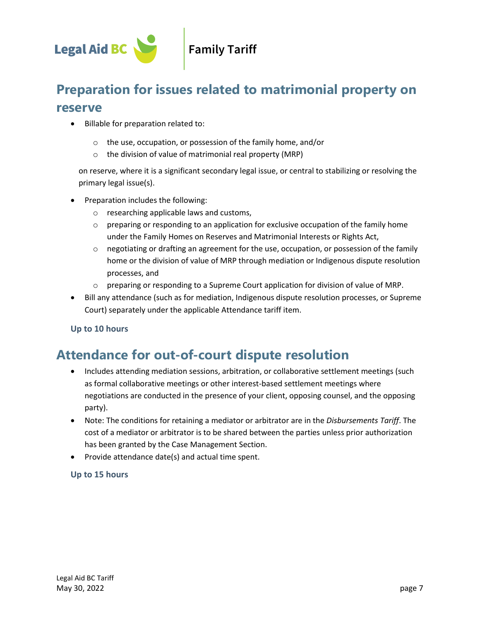

## **Preparation for issues related to matrimonial property on reserve**

- Billable for preparation related to:
	- o the use, occupation, or possession of the family home, and/or
	- o the division of value of matrimonial real property (MRP)

on reserve, where it is a significant secondary legal issue, or central to stabilizing or resolving the primary legal issue(s).

- Preparation includes the following:
	- o researching applicable laws and customs,
	- $\circ$  preparing or responding to an application for exclusive occupation of the family home under the Family Homes on Reserves and Matrimonial Interests or Rights Act,
	- $\circ$  negotiating or drafting an agreement for the use, occupation, or possession of the family home or the division of value of MRP through mediation or Indigenous dispute resolution processes, and
	- $\circ$  preparing or responding to a Supreme Court application for division of value of MRP.
- Bill any attendance (such as for mediation, Indigenous dispute resolution processes, or Supreme Court) separately under the applicable Attendance tariff item.

#### **Up to 10 hours**

## **Attendance for out-of-court dispute resolution**

- Includes attending mediation sessions, arbitration, or collaborative settlement meetings (such as formal collaborative meetings or other interest-based settlement meetings where negotiations are conducted in the presence of your client, opposing counsel, and the opposing party).
- Note: The conditions for retaining a mediator or arbitrator are in the *Disbursements Tariff*. The cost of a mediator or arbitrator is to be shared between the parties unless prior authorization has been granted by the Case Management Section.
- Provide attendance date(s) and actual time spent.

#### **Up to 15 hours**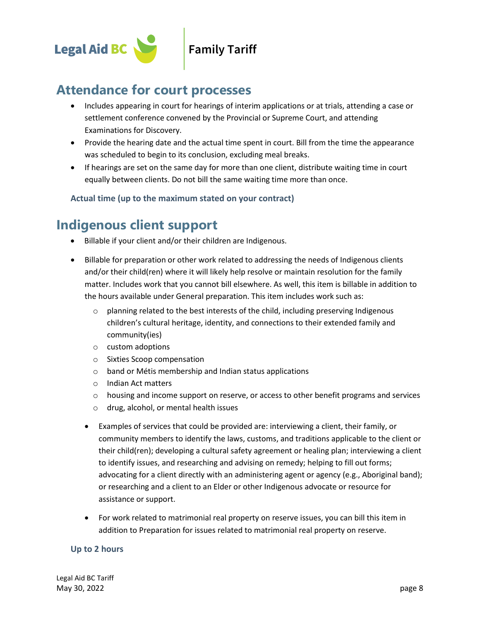

### **Attendance for court processes**

- Includes appearing in court for hearings of interim applications or at trials, attending a case or settlement conference convened by the Provincial or Supreme Court, and attending Examinations for Discovery.
- Provide the hearing date and the actual time spent in court. Bill from the time the appearance was scheduled to begin to its conclusion, excluding meal breaks.
- If hearings are set on the same day for more than one client, distribute waiting time in court equally between clients. Do not bill the same waiting time more than once.

**Actual time (up to the maximum stated on your contract)**

## **Indigenous client support**

- Billable if your client and/or their children are Indigenous.
- Billable for preparation or other work related to addressing the needs of Indigenous clients and/or their child(ren) where it will likely help resolve or maintain resolution for the family matter. Includes work that you cannot bill elsewhere. As well, this item is billable in addition to the hours available under General preparation. This item includes work such as:
	- $\circ$  planning related to the best interests of the child, including preserving Indigenous children's cultural heritage, identity, and connections to their extended family and community(ies)
	- o custom adoptions
	- o Sixties Scoop compensation
	- o band or Métis membership and Indian status applications
	- o Indian Act matters
	- $\circ$  housing and income support on reserve, or access to other benefit programs and services
	- o drug, alcohol, or mental health issues
	- Examples of services that could be provided are: interviewing a client, their family, or community members to identify the laws, customs, and traditions applicable to the client or their child(ren); developing a cultural safety agreement or healing plan; interviewing a client to identify issues, and researching and advising on remedy; helping to fill out forms; advocating for a client directly with an administering agent or agency (e.g., Aboriginal band); or researching and a client to an Elder or other Indigenous advocate or resource for assistance or support.
	- For work related to matrimonial real property on reserve issues, you can bill this item in addition to Preparation for issues related to matrimonial real property on reserve.

#### **Up to 2 hours**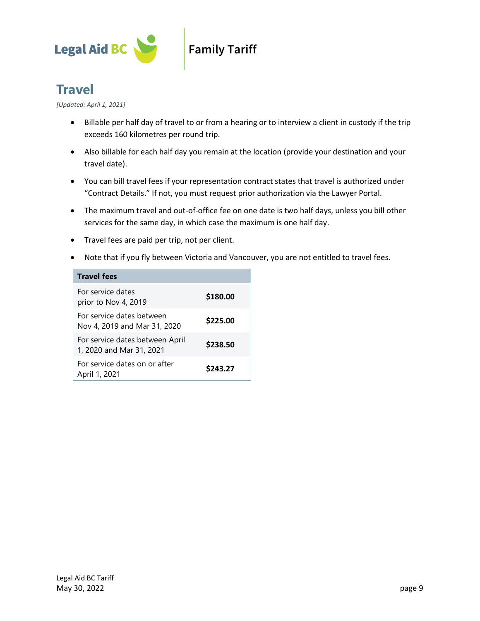

## **Family Tariff**

## **Travel**

*[Updated: April 1, 2021]*

- Billable per half day of travel to or from a hearing or to interview a client in custody if the trip exceeds 160 kilometres per round trip.
- Also billable for each half day you remain at the location (provide your destination and your travel date).
- You can bill travel fees if your representation contract states that travel is authorized under "Contract Details." If not, you must request prior authorization via the Lawyer Portal.
- The maximum travel and out-of-office fee on one date is two half days, unless you bill other services for the same day, in which case the maximum is one half day.
- Travel fees are paid per trip, not per client.
- Note that if you fly between Victoria and Vancouver, you are not entitled to travel fees.

| <b>Travel fees</b>                                          |          |
|-------------------------------------------------------------|----------|
| For service dates<br>prior to Nov 4, 2019                   | \$180.00 |
| For service dates between<br>Nov 4, 2019 and Mar 31, 2020   | \$225.00 |
| For service dates between April<br>1, 2020 and Mar 31, 2021 | \$238.50 |
| For service dates on or after<br>April 1, 2021              | \$243.27 |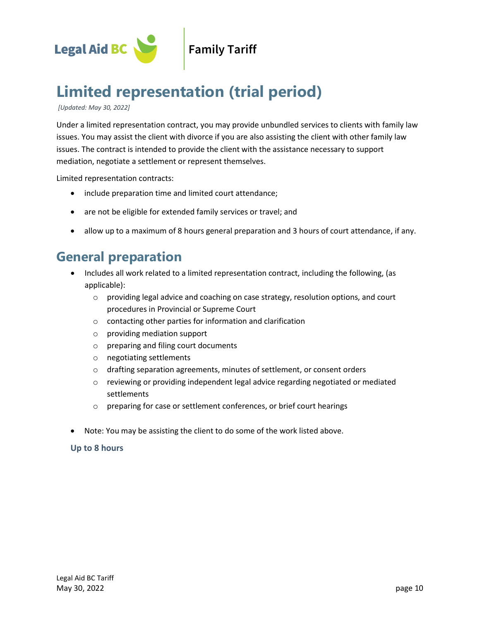

# **Limited representation (trial period)**

*[Updated: May 30, 2022]*

Under a limited representation contract, you may provide unbundled services to clients with family law issues. You may assist the client with divorce if you are also assisting the client with other family law issues. The contract is intended to provide the client with the assistance necessary to support mediation, negotiate a settlement or represent themselves.

Limited representation contracts:

- include preparation time and limited court attendance;
- are not be eligible for extended family services or travel; and
- allow up to a maximum of 8 hours general preparation and 3 hours of court attendance, if any.

## **General preparation**

- Includes all work related to a limited representation contract, including the following, (as applicable):
	- $\circ$  providing legal advice and coaching on case strategy, resolution options, and court procedures in Provincial or Supreme Court
	- o contacting other parties for information and clarification
	- o providing mediation support
	- o preparing and filing court documents
	- o negotiating settlements
	- o drafting separation agreements, minutes of settlement, or consent orders
	- $\circ$  reviewing or providing independent legal advice regarding negotiated or mediated settlements
	- o preparing for case or settlement conferences, or brief court hearings
- Note: You may be assisting the client to do some of the work listed above.

#### **Up to 8 hours**